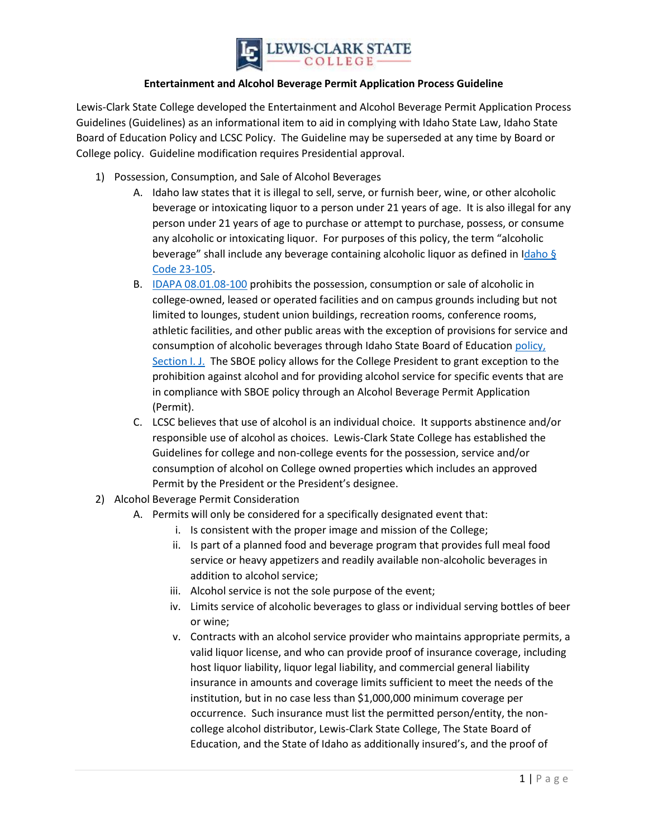

## **Entertainment and Alcohol Beverage Permit Application Process Guideline**

Lewis-Clark State College developed the Entertainment and Alcohol Beverage Permit Application Process Guidelines (Guidelines) as an informational item to aid in complying with Idaho State Law, Idaho State Board of Education Policy and LCSC Policy. The Guideline may be superseded at any time by Board or College policy. Guideline modification requires Presidential approval.

- 1) Possession, Consumption, and Sale of Alcohol Beverages
	- A. Idaho law states that it is illegal to sell, serve, or furnish beer, wine, or other alcoholic beverage or intoxicating liquor to a person under 21 years of age. It is also illegal for any person under 21 years of age to purchase or attempt to purchase, possess, or consume any alcoholic or intoxicating liquor. For purposes of this policy, the term "alcoholic beverage" shall include any beverage containing alcoholic liquor as defined in Idaho § [Code 23-105.](https://legislature.idaho.gov/statutesrules/idstat/title23/t23ch10/#:~:text=PAYMENT%20OF%20TAXES%20ON%20BEER.&text=REFUND%20OF%20TAXES.,UNLAWFUL%20SALE%2C%20PURCHASES%20AND%20ACTS.)
	- B. [IDAPA 08.01.08-100](http://adminrules.idaho.gov/rules/2012/08/0108.pdf) prohibits the possession, consumption or sale of alcoholic in college-owned, leased or operated facilities and on campus grounds including but not limited to lounges, student union buildings, recreation rooms, conference rooms, athletic facilities, and other public areas with the exception of provisions for service and consumption of alcoholic beverages through Idaho State Board of Education [policy,](https://boardofed.idaho.gov/policies/documents/policies/i/ij_use_of_institutional_facilities_and_services_with_regard_to_the_private_sector_0411.pdf)  [Section I. J.](https://boardofed.idaho.gov/policies/documents/policies/i/ij_use_of_institutional_facilities_and_services_with_regard_to_the_private_sector_0411.pdf) The SBOE policy allows for the College President to grant exception to the prohibition against alcohol and for providing alcohol service for specific events that are in compliance with SBOE policy through an Alcohol Beverage Permit Application (Permit).
	- C. LCSC believes that use of alcohol is an individual choice. It supports abstinence and/or responsible use of alcohol as choices. Lewis-Clark State College has established the Guidelines for college and non-college events for the possession, service and/or consumption of alcohol on College owned properties which includes an approved Permit by the President or the President's designee.
- 2) Alcohol Beverage Permit Consideration
	- A. Permits will only be considered for a specifically designated event that:
		- i. Is consistent with the proper image and mission of the College;
		- ii. Is part of a planned food and beverage program that provides full meal food service or heavy appetizers and readily available non-alcoholic beverages in addition to alcohol service;
		- iii. Alcohol service is not the sole purpose of the event;
		- iv. Limits service of alcoholic beverages to glass or individual serving bottles of beer or wine;
		- v. Contracts with an alcohol service provider who maintains appropriate permits, a valid liquor license, and who can provide proof of insurance coverage, including host liquor liability, liquor legal liability, and commercial general liability insurance in amounts and coverage limits sufficient to meet the needs of the institution, but in no case less than \$1,000,000 minimum coverage per occurrence. Such insurance must list the permitted person/entity, the noncollege alcohol distributor, Lewis-Clark State College, The State Board of Education, and the State of Idaho as additionally insured's, and the proof of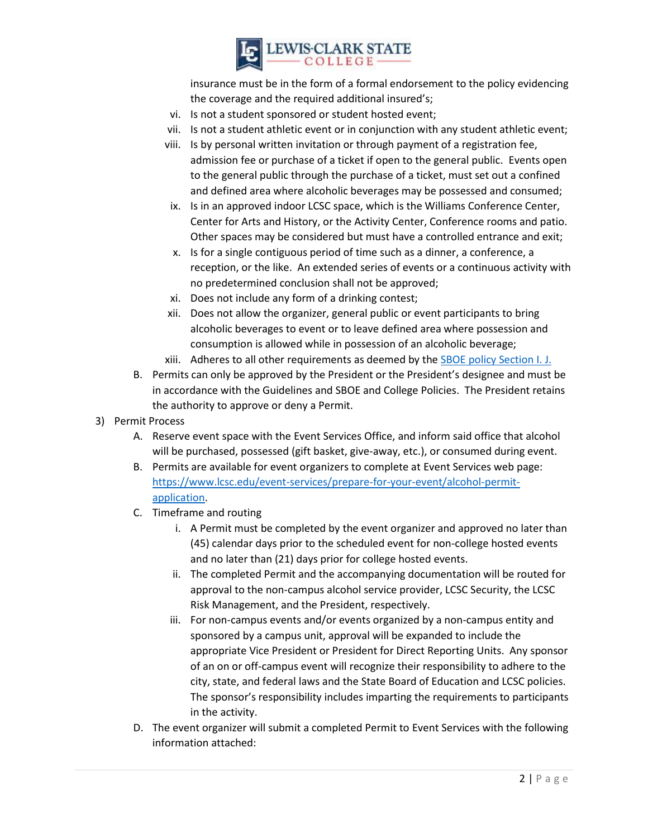

insurance must be in the form of a formal endorsement to the policy evidencing the coverage and the required additional insured's;

- vi. Is not a student sponsored or student hosted event;
- vii. Is not a student athletic event or in conjunction with any student athletic event;
- viii. Is by personal written invitation or through payment of a registration fee, admission fee or purchase of a ticket if open to the general public. Events open to the general public through the purchase of a ticket, must set out a confined and defined area where alcoholic beverages may be possessed and consumed;
- ix. Is in an approved indoor LCSC space, which is the Williams Conference Center, Center for Arts and History, or the Activity Center, Conference rooms and patio. Other spaces may be considered but must have a controlled entrance and exit;
- x. Is for a single contiguous period of time such as a dinner, a conference, a reception, or the like. An extended series of events or a continuous activity with no predetermined conclusion shall not be approved;
- xi. Does not include any form of a drinking contest;
- xii. Does not allow the organizer, general public or event participants to bring alcoholic beverages to event or to leave defined area where possession and consumption is allowed while in possession of an alcoholic beverage;
- xiii. Adheres to all other requirements as deemed by th[e SBOE policy Section I. J.](https://boardofed.idaho.gov/policies/documents/policies/i/ij_use_of_institutional_facilities_and_services_with_regard_to_the_private_sector_0411.pdf)
- B. Permits can only be approved by the President or the President's designee and must be in accordance with the Guidelines and SBOE and College Policies. The President retains the authority to approve or deny a Permit.
- 3) Permit Process
	- A. Reserve event space with the Event Services Office, and inform said office that alcohol will be purchased, possessed (gift basket, give-away, etc.), or consumed during event.
	- B. Permits are available for event organizers to complete at Event Services web page: [https://www.lcsc.edu/event-services/prepare-for-your-event/alcohol-permit](https://www.lcsc.edu/event-services/prepare-for-your-event/alcohol-permit-application)[application.](https://www.lcsc.edu/event-services/prepare-for-your-event/alcohol-permit-application)
	- C. Timeframe and routing
		- i. A Permit must be completed by the event organizer and approved no later than (45) calendar days prior to the scheduled event for non-college hosted events and no later than (21) days prior for college hosted events.
		- ii. The completed Permit and the accompanying documentation will be routed for approval to the non-campus alcohol service provider, LCSC Security, the LCSC Risk Management, and the President, respectively.
		- iii. For non-campus events and/or events organized by a non-campus entity and sponsored by a campus unit, approval will be expanded to include the appropriate Vice President or President for Direct Reporting Units. Any sponsor of an on or off-campus event will recognize their responsibility to adhere to the city, state, and federal laws and the State Board of Education and LCSC policies. The sponsor's responsibility includes imparting the requirements to participants in the activity.
	- D. The event organizer will submit a completed Permit to Event Services with the following information attached: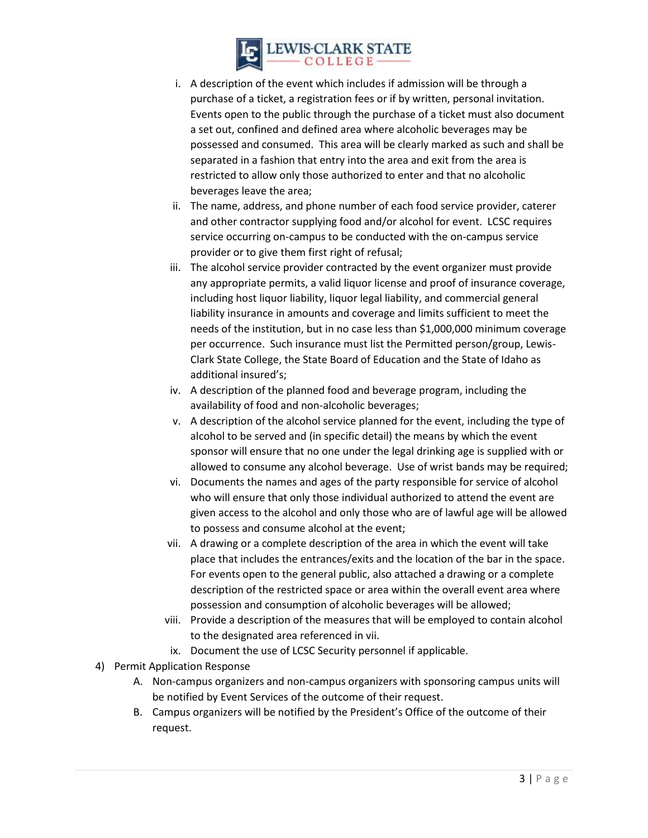

- i. A description of the event which includes if admission will be through a purchase of a ticket, a registration fees or if by written, personal invitation. Events open to the public through the purchase of a ticket must also document a set out, confined and defined area where alcoholic beverages may be possessed and consumed. This area will be clearly marked as such and shall be separated in a fashion that entry into the area and exit from the area is restricted to allow only those authorized to enter and that no alcoholic beverages leave the area;
- ii. The name, address, and phone number of each food service provider, caterer and other contractor supplying food and/or alcohol for event. LCSC requires service occurring on-campus to be conducted with the on-campus service provider or to give them first right of refusal;
- iii. The alcohol service provider contracted by the event organizer must provide any appropriate permits, a valid liquor license and proof of insurance coverage, including host liquor liability, liquor legal liability, and commercial general liability insurance in amounts and coverage and limits sufficient to meet the needs of the institution, but in no case less than \$1,000,000 minimum coverage per occurrence. Such insurance must list the Permitted person/group, Lewis-Clark State College, the State Board of Education and the State of Idaho as additional insured's;
- iv. A description of the planned food and beverage program, including the availability of food and non-alcoholic beverages;
- v. A description of the alcohol service planned for the event, including the type of alcohol to be served and (in specific detail) the means by which the event sponsor will ensure that no one under the legal drinking age is supplied with or allowed to consume any alcohol beverage. Use of wrist bands may be required;
- vi. Documents the names and ages of the party responsible for service of alcohol who will ensure that only those individual authorized to attend the event are given access to the alcohol and only those who are of lawful age will be allowed to possess and consume alcohol at the event;
- vii. A drawing or a complete description of the area in which the event will take place that includes the entrances/exits and the location of the bar in the space. For events open to the general public, also attached a drawing or a complete description of the restricted space or area within the overall event area where possession and consumption of alcoholic beverages will be allowed;
- viii. Provide a description of the measures that will be employed to contain alcohol to the designated area referenced in vii.
- ix. Document the use of LCSC Security personnel if applicable.
- 4) Permit Application Response
	- A. Non-campus organizers and non-campus organizers with sponsoring campus units will be notified by Event Services of the outcome of their request.
	- B. Campus organizers will be notified by the President's Office of the outcome of their request.